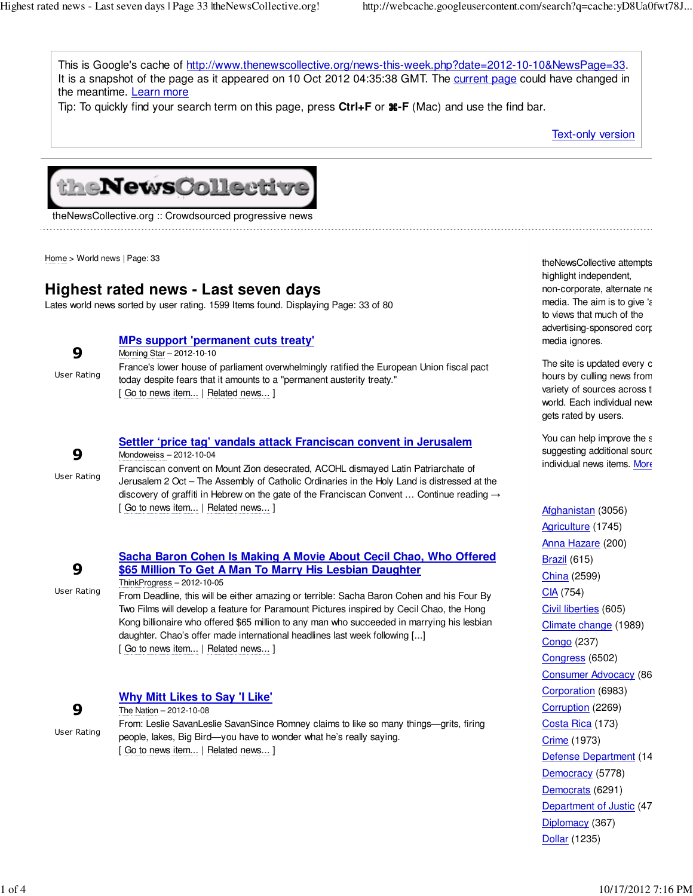This is Google's cache of http://www.thenewscollective.org/news-this-week.php?date=2012-10-10&NewsPage=33. It is a snapshot of the page as it appeared on 10 Oct 2012 04:35:38 GMT. The current page could have changed in the meantime. Learn more

Tip: To quickly find your search term on this page, press **Ctrl+F** or ⌘**-F** (Mac) and use the find bar.

Text-only version



theNewsCollective.org :: Crowdsourced progressive news

Home > World news | Page: 33

## **Highest rated news - Last seven days**

Lates world news sorted by user rating. 1599 Items found. Displaying Page: 33 of 80

### **MPs support 'permanent cuts treaty'**

| 9           | Morning Star - 2012-10-10                                                                 |
|-------------|-------------------------------------------------------------------------------------------|
| User Rating | France's lower house of parliament overwhelmingly ratified the European Union fiscal pact |
|             | today despite fears that it amounts to a "permanent austerity treaty."                    |
|             | [ Go to news item   Related news ]                                                        |
|             |                                                                                           |

### **Settler 'price tag' vandals attack Franciscan convent in Jerusalem** Mondoweiss – 2012-10-04

User Rating Franciscan convent on Mount Zion desecrated, ACOHL dismayed Latin Patriarchate of Jerusalem 2 Oct – The Assembly of Catholic Ordinaries in the Holy Land is distressed at the discovery of graffiti in Hebrew on the gate of the Franciscan Convent ... Continue reading  $\rightarrow$ [ Go to news item... | Related news... ]

|             | Sacha Baron Cohen Is Making A Movie About Cecil Chao, Who Offered                                                                                                                     |  |
|-------------|---------------------------------------------------------------------------------------------------------------------------------------------------------------------------------------|--|
| 9           | \$65 Million To Get A Man To Marry His Lesbian Daughter                                                                                                                               |  |
|             | ThinkProgress - 2012-10-05                                                                                                                                                            |  |
| User Rating | From Deadline, this will be either amazing or terrible: Sacha Baron Cohen and his Four By<br>Two Films will develop a feature for Paramount Pictures inspired by Cecil Chao, the Hong |  |

Two Films will develop a feature for Paramount Pictures inspired by Cecil Chao, the Hong Kong billionaire who offered \$65 million to any man who succeeded in marrying his lesbian daughter. Chao's offer made international headlines last week following [...] [ Go to news item... | Related news... ]

## **Why Mitt Likes to Say 'I Like'**

9 User Rating

9

The Nation – 2012-10-08 From: Leslie SavanLeslie SavanSince Romney claims to like so many things—grits, firing people, lakes, Big Bird—you have to wonder what he's really saying. [ Go to news item... | Related news... ]

theNewsCollective attempts highlight independent, non-corporate, alternate ne media. The aim is to give  $\epsilon$ to views that much of the advertising-sponsored corp media ignores.

The site is updated every c hours by culling news from variety of sources across t world. Each individual news gets rated by users.

You can help improve the s suggesting additional sourc individual news items. More

Afghanistan (3056) Agriculture (1745) Anna Hazare (200) **Brazil** (615) China (2599) CIA (754) Civil liberties (605) Climate change (1989) Congo (237) Congress (6502) Consumer Advocacy (86 Corporation (6983) Corruption (2269) Costa Rica (173) Crime (1973) Defense Department (14 Democracy (5778) Democrats (6291) Department of Justic (47 Diplomacy (367) Dollar (1235)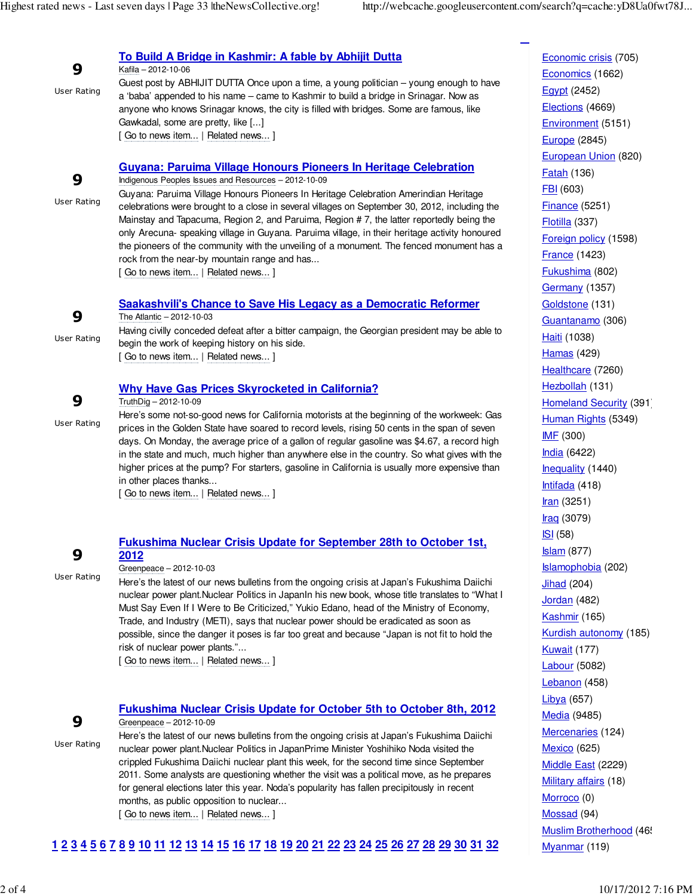**<<**

| 9<br>User Rating        | To Build A Bridge in Kashmir: A fable by Abhijit Dutta<br>Kafila - 2012-10-06<br>Guest post by ABHIJIT DUTTA Once upon a time, a young politician – young enough to have<br>a 'baba' appended to his name – came to Kashmir to build a bridge in Srinagar. Now as<br>anyone who knows Srinagar knows, the city is filled with bridges. Some are famous, like<br>Gawkadal, some are pretty, like []<br>[Go to news item   Related news ]                                                                                                                                                                                                                                                                  |
|-------------------------|----------------------------------------------------------------------------------------------------------------------------------------------------------------------------------------------------------------------------------------------------------------------------------------------------------------------------------------------------------------------------------------------------------------------------------------------------------------------------------------------------------------------------------------------------------------------------------------------------------------------------------------------------------------------------------------------------------|
| 9<br><b>User Rating</b> | <b>Guyana: Paruima Village Honours Pioneers In Heritage Celebration</b><br>Indigenous Peoples Issues and Resources - 2012-10-09<br>Guyana: Paruima Village Honours Pioneers In Heritage Celebration Amerindian Heritage<br>celebrations were brought to a close in several villages on September 30, 2012, including the<br>Mainstay and Tapacuma, Region 2, and Paruima, Region #7, the latter reportedly being the<br>only Arecuna- speaking village in Guyana. Paruima village, in their heritage activity honoured<br>the pioneers of the community with the unveiling of a monument. The fenced monument has a<br>rock from the near-by mountain range and has<br>[Go to news item   Related news ] |
| 9<br>User Rating        | <b>Saakashvili's Chance to Save His Legacy as a Democratic Reformer</b><br>The Atlantic - 2012-10-03<br>Having civilly conceded defeat after a bitter campaign, the Georgian president may be able to<br>begin the work of keeping history on his side.<br>[Go to news item   Related news ]                                                                                                                                                                                                                                                                                                                                                                                                             |
| 9<br><b>User Rating</b> | <b>Why Have Gas Prices Skyrocketed in California?</b><br>TruthDig - 2012-10-09<br>Here's some not-so-good news for California motorists at the beginning of the workweek: Gas<br>prices in the Golden State have soared to record levels, rising 50 cents in the span of seven<br>days. On Monday, the average price of a gallon of regular gasoline was \$4.67, a record high<br>in the state and much, much higher than anywhere else in the country. So what gives with the<br>higher prices at the pump? For starters, gasoline in California is usually more expensive than<br>in other places thanks<br>[Go to news item   Related news]                                                           |

# 9

Greenpeace – 2012-10-03

**2012**

User Rating

Here's the latest of our news bulletins from the ongoing crisis at Japan's Fukushima Daiichi nuclear power plant.Nuclear Politics in JapanIn his new book, whose title translates to "What I Must Say Even If I Were to Be Criticized," Yukio Edano, head of the Ministry of Economy, Trade, and Industry (METI), says that nuclear power should be eradicated as soon as possible, since the danger it poses is far too great and because "Japan is not fit to hold the risk of nuclear power plants."...

**Fukushima Nuclear Crisis Update for September 28th to October 1st,**

[ Go to news item... | Related news... ]

# 9

## **Fukushima Nuclear Crisis Update for October 5th to October 8th, 2012** Greenpeace – 2012-10-09

User Rating

Here's the latest of our news bulletins from the ongoing crisis at Japan's Fukushima Daiichi nuclear power plant.Nuclear Politics in JapanPrime Minister Yoshihiko Noda visited the crippled Fukushima Daiichi nuclear plant this week, for the second time since September 2011. Some analysts are questioning whether the visit was a political move, as he prepares for general elections later this year. Noda's popularity has fallen precipitously in recent months, as public opposition to nuclear... [ Go to news item... | Related news... ]

## 1 2 3 4 5 6 7 8 9 10 11 12 13 14 15 16 17 18 19 20 21 22 23 24 25 26 27 28 29 30 31 32

Economic crisis (705) Economics (1662) Egypt (2452) Elections (4669) Environment (5151) Europe (2845) European Union (820) Fatah (136) FBI (603) Finance (5251) Flotilla (337) Foreign policy (1598) France (1423) Fukushima (802) Germany (1357) Goldstone (131) Guantanamo (306) Haiti (1038) Hamas (429) Healthcare (7260) Hezbollah (131) Homeland Security (391) Human Rights (5349) IMF (300) India (6422) Inequality (1440) Intifada (418) Iran (3251)  $Irac{(3079)}{1}$ ISI (58) Islam (877) Islamophobia (202) **Jihad** (204) Jordan (482) Kashmir (165) Kurdish autonomy (185) **Kuwait (177)** Labour (5082) Lebanon (458) Libya (657) Media (9485) Mercenaries (124) Mexico (625) Middle East (2229) Military affairs (18) Morroco (0) Mossad (94) Muslim Brotherhood (465

Myanmar (119)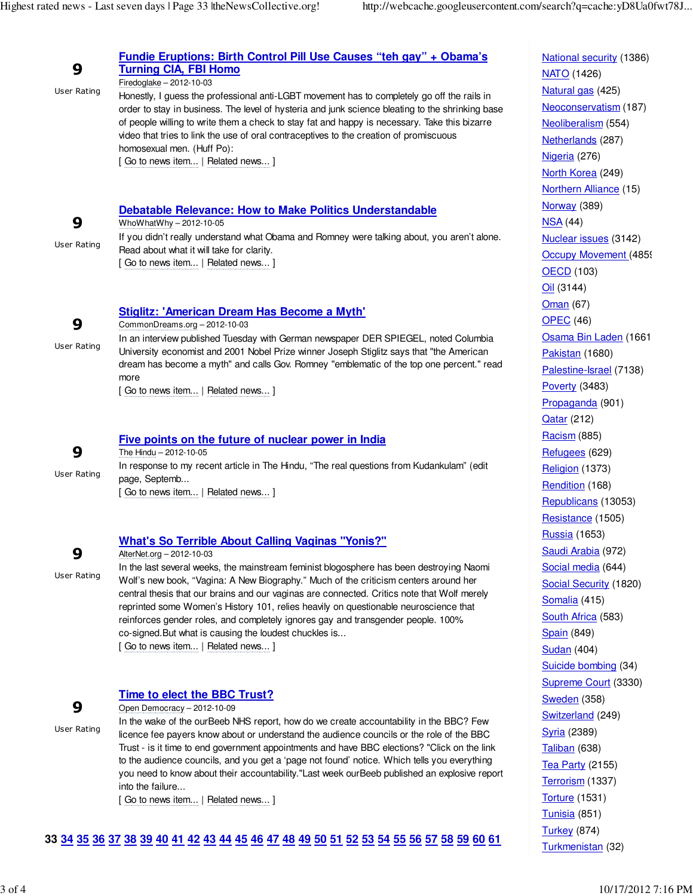| 9<br><b>User Rating</b> | Fundie Eruptions: Birth Control Pill Use Causes "teh gay" + Obama's<br><b>Turning CIA, FBI Homo</b><br>Firedoglake - 2012-10-03<br>Honestly, I guess the professional anti-LGBT movement has to completely go off the rails in<br>order to stay in business. The level of hysteria and junk science bleating to the shrinking base<br>of people willing to write them a check to stay fat and happy is necessary. Take this bizarre<br>video that tries to link the use of oral contraceptives to the creation of promiscuous<br>homosexual men. (Huff Po):<br>[Go to news item   Related news ] | <b>National security (1386)</b><br><b>NATO</b> (1426)<br>Natural gas (425)<br>Neoconservatism (187)<br>Neoliberalism (554)<br>Netherlands (287)<br>Nigeria (276)<br>North Korea (249)<br>Northern Alliance (15) |
|-------------------------|--------------------------------------------------------------------------------------------------------------------------------------------------------------------------------------------------------------------------------------------------------------------------------------------------------------------------------------------------------------------------------------------------------------------------------------------------------------------------------------------------------------------------------------------------------------------------------------------------|-----------------------------------------------------------------------------------------------------------------------------------------------------------------------------------------------------------------|
| 9<br><b>User Rating</b> | <b>Debatable Relevance: How to Make Politics Understandable</b><br>WhoWhatWhy - 2012-10-05<br>If you didn't really understand what Obama and Romney were talking about, you aren't alone.<br>Read about what it will take for clarity.<br>[Go to news item   Related news ]                                                                                                                                                                                                                                                                                                                      | Norway (389)<br>NSA(44)<br>Nuclear issues (3142)<br>Occupy Movement (4859<br><b>OECD</b> (103)<br>$Oil$ (3144)                                                                                                  |
| 9<br><b>User Rating</b> | <b>Stiglitz: 'American Dream Has Become a Myth'</b><br>CommonDreams.org-2012-10-03<br>In an interview published Tuesday with German newspaper DER SPIEGEL, noted Columbia<br>University economist and 2001 Nobel Prize winner Joseph Stiglitz says that "the American<br>dream has become a myth" and calls Gov. Romney "emblematic of the top one percent." read<br>more<br>[Go to news item   Related news ]                                                                                                                                                                                   | Oman (67)<br><b>OPEC</b> (46)<br>Osama Bin Laden (1661<br>Pakistan (1680)<br>Palestine-Israel (7138)<br>Poverty (3483)<br>Propaganda (901)<br><b>Qatar (212)</b>                                                |
| 9<br><b>User Rating</b> | Five points on the future of nuclear power in India<br>The Hindu - 2012-10-05<br>In response to my recent article in The Hindu, "The real questions from Kudankulam" (edit<br>page, Septemb<br>[Go to news item   Related news ]                                                                                                                                                                                                                                                                                                                                                                 | Racing(885)<br>Refugees (629)<br>Religion (1373)<br>Rendition (168)<br>Republicans (13053)<br>$D_{\text{add}}$                                                                                                  |

## **What's So Terrible About Calling Vaginas "Yonis?"**

9 User Rating AlterNet.org – 2012-10-03

In the last several weeks, the mainstream feminist blogosphere has been destroying Naomi Wolf's new book, "Vagina: A New Biography." Much of the criticism centers around her central thesis that our brains and our vaginas are connected. Critics note that Wolf merely reprinted some Women's History 101, relies heavily on questionable neuroscience that reinforces gender roles, and completely ignores gay and transgender people. 100% co-signed.But what is causing the loudest chuckles is... [ Go to news item... | Related news... ]

## 9

## **Time to elect the BBC Trust?**

User Rating

Open Democracy – 2012-10-09

In the wake of the ourBeeb NHS report, how do we create accountability in the BBC? Few licence fee payers know about or understand the audience councils or the role of the BBC Trust - is it time to end government appointments and have BBC elections? "Click on the link to the audience councils, and you get a 'page not found' notice. Which tells you everything you need to know about their accountability."Last week ourBeeb published an explosive report into the failure...

[ Go to news item... | Related news... ]

## 33 34 35 36 37 38 39 40 41 42 43 44 45 46 47 48 49 50 51 52 53 54 55 56 57 58 59 60 61

Resistance (1505) Russia (1653) Saudi Arabia (972) Social media (644) Social Security (1820) Somalia (415) South Africa (583) **Spain** (849) Sudan (404) Suicide bombing (34) Supreme Court (3330) **Sweden** (358) Switzerland (249) Syria (2389) Taliban (638) **Tea Party (2155)** Terrorism (1337) Torture (1531) Tunisia (851) **Turkey** (874) Turkmenistan (32)